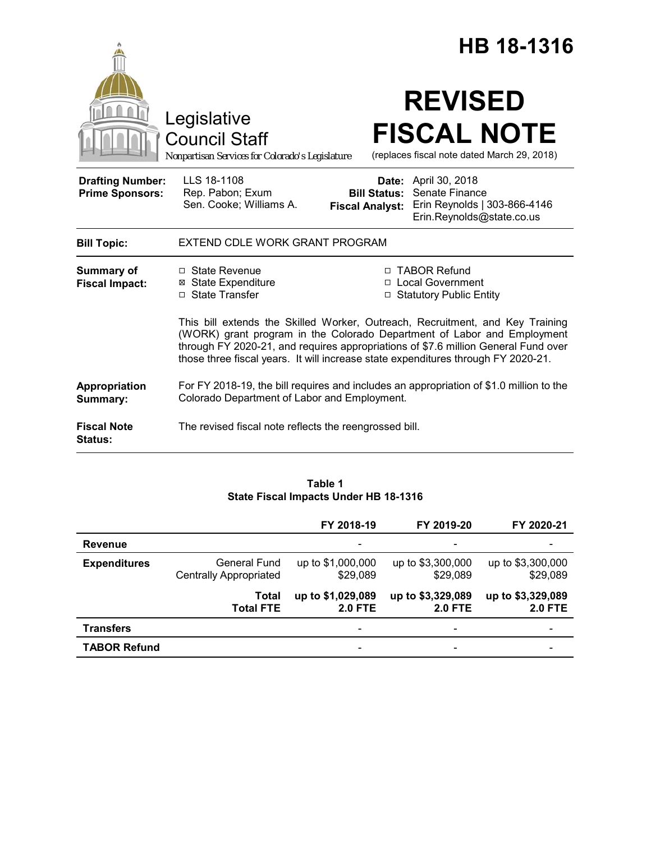|                                                   |                                                                                                                                                                                                                                                                                                                                     | HB 18-1316                                             |                                                                                               |  |  |
|---------------------------------------------------|-------------------------------------------------------------------------------------------------------------------------------------------------------------------------------------------------------------------------------------------------------------------------------------------------------------------------------------|--------------------------------------------------------|-----------------------------------------------------------------------------------------------|--|--|
|                                                   | Legislative<br><b>Council Staff</b><br>Nonpartisan Services for Colorado's Legislature                                                                                                                                                                                                                                              |                                                        | <b>REVISED</b><br><b>FISCAL NOTE</b><br>(replaces fiscal note dated March 29, 2018)           |  |  |
| <b>Drafting Number:</b><br><b>Prime Sponsors:</b> | LLS 18-1108<br>Rep. Pabon; Exum<br>Sen. Cooke; Williams A.                                                                                                                                                                                                                                                                          | Date:<br><b>Bill Status:</b><br><b>Fiscal Analyst:</b> | April 30, 2018<br>Senate Finance<br>Erin Reynolds   303-866-4146<br>Erin.Reynolds@state.co.us |  |  |
| <b>Bill Topic:</b>                                | EXTEND CDLE WORK GRANT PROGRAM                                                                                                                                                                                                                                                                                                      |                                                        |                                                                                               |  |  |
| <b>Summary of</b><br><b>Fiscal Impact:</b>        | $\Box$ State Revenue<br><b>State Expenditure</b><br>⊠<br>□ State Transfer                                                                                                                                                                                                                                                           |                                                        | □ TABOR Refund<br>□ Local Government<br>□ Statutory Public Entity                             |  |  |
|                                                   | This bill extends the Skilled Worker, Outreach, Recruitment, and Key Training<br>(WORK) grant program in the Colorado Department of Labor and Employment<br>through FY 2020-21, and requires appropriations of \$7.6 million General Fund over<br>those three fiscal years. It will increase state expenditures through FY 2020-21. |                                                        |                                                                                               |  |  |
| Appropriation<br>Summary:                         | For FY 2018-19, the bill requires and includes an appropriation of \$1.0 million to the<br>Colorado Department of Labor and Employment.                                                                                                                                                                                             |                                                        |                                                                                               |  |  |
| <b>Fiscal Note</b><br><b>Status:</b>              | The revised fiscal note reflects the reengrossed bill.                                                                                                                                                                                                                                                                              |                                                        |                                                                                               |  |  |

### **Table 1 State Fiscal Impacts Under HB 18-1316**

|                     |                                               | FY 2018-19                          | FY 2019-20                          | FY 2020-21                          |
|---------------------|-----------------------------------------------|-------------------------------------|-------------------------------------|-------------------------------------|
| <b>Revenue</b>      |                                               | $\overline{\phantom{a}}$            | $\overline{\phantom{0}}$            | $\overline{\phantom{a}}$            |
| <b>Expenditures</b> | General Fund<br><b>Centrally Appropriated</b> | up to \$1,000,000<br>\$29,089       | up to \$3,300,000<br>\$29,089       | up to \$3,300,000<br>\$29,089       |
|                     | Total<br><b>Total FTE</b>                     | up to \$1,029,089<br><b>2.0 FTE</b> | up to \$3,329,089<br><b>2.0 FTE</b> | up to \$3,329,089<br><b>2.0 FTE</b> |
| <b>Transfers</b>    |                                               | $\overline{\phantom{a}}$            | $\overline{\phantom{a}}$            | -                                   |
| <b>TABOR Refund</b> |                                               | $\overline{\phantom{a}}$            | -                                   | $\overline{\phantom{a}}$            |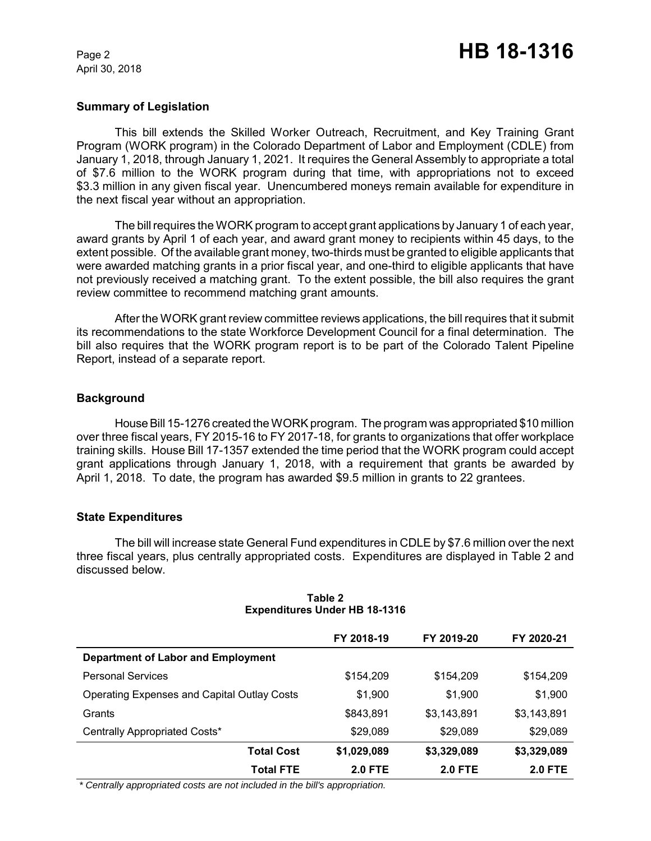April 30, 2018

# **Summary of Legislation**

This bill extends the Skilled Worker Outreach, Recruitment, and Key Training Grant Program (WORK program) in the Colorado Department of Labor and Employment (CDLE) from January 1, 2018, through January 1, 2021. It requires the General Assembly to appropriate a total of \$7.6 million to the WORK program during that time, with appropriations not to exceed \$3.3 million in any given fiscal year. Unencumbered moneys remain available for expenditure in the next fiscal year without an appropriation.

The billrequires the WORK program to accept grant applications by January 1 of each year, award grants by April 1 of each year, and award grant money to recipients within 45 days, to the extent possible. Of the available grant money, two-thirds must be granted to eligible applicants that were awarded matching grants in a prior fiscal year, and one-third to eligible applicants that have not previously received a matching grant. To the extent possible, the bill also requires the grant review committee to recommend matching grant amounts.

After the WORK grant review committee reviews applications, the bill requires that it submit its recommendations to the state Workforce Development Council for a final determination. The bill also requires that the WORK program report is to be part of the Colorado Talent Pipeline Report, instead of a separate report.

# **Background**

House Bill 15-1276 created the WORK program. The program was appropriated \$10 million over three fiscal years, FY 2015-16 to FY 2017-18, for grants to organizations that offer workplace training skills. House Bill 17-1357 extended the time period that the WORK program could accept grant applications through January 1, 2018, with a requirement that grants be awarded by April 1, 2018. To date, the program has awarded \$9.5 million in grants to 22 grantees.

# **State Expenditures**

The bill will increase state General Fund expenditures in CDLE by \$7.6 million over the next three fiscal years, plus centrally appropriated costs. Expenditures are displayed in Table 2 and discussed below.

|                                                    | FY 2018-19     | FY 2019-20     | FY 2020-21     |
|----------------------------------------------------|----------------|----------------|----------------|
| <b>Department of Labor and Employment</b>          |                |                |                |
| <b>Personal Services</b>                           | \$154,209      | \$154,209      | \$154,209      |
| <b>Operating Expenses and Capital Outlay Costs</b> | \$1,900        | \$1,900        | \$1,900        |
| Grants                                             | \$843,891      | \$3,143,891    | \$3,143,891    |
| Centrally Appropriated Costs*                      | \$29,089       | \$29,089       | \$29,089       |
| <b>Total Cost</b>                                  | \$1,029,089    | \$3,329,089    | \$3,329,089    |
| <b>Total FTE</b>                                   | <b>2.0 FTE</b> | <b>2.0 FTE</b> | <b>2.0 FTE</b> |

#### **Table 2 Expenditures Under HB 18-1316**

 *\* Centrally appropriated costs are not included in the bill's appropriation.*